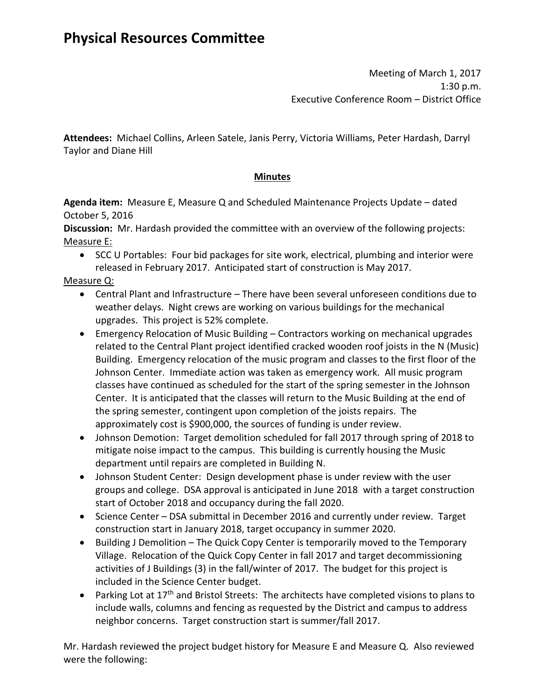Meeting of March 1, 2017 1:30 p.m. Executive Conference Room – District Office

**Attendees:** Michael Collins, Arleen Satele, Janis Perry, Victoria Williams, Peter Hardash, Darryl Taylor and Diane Hill

## **Minutes**

**Agenda item:** Measure E, Measure Q and Scheduled Maintenance Projects Update – dated October 5, 2016

**Discussion:** Mr. Hardash provided the committee with an overview of the following projects: Measure E:

• SCC U Portables: Four bid packages for site work, electrical, plumbing and interior were released in February 2017. Anticipated start of construction is May 2017.

Measure Q:

- Central Plant and Infrastructure There have been several unforeseen conditions due to weather delays. Night crews are working on various buildings for the mechanical upgrades. This project is 52% complete.
- Emergency Relocation of Music Building Contractors working on mechanical upgrades related to the Central Plant project identified cracked wooden roof joists in the N (Music) Building. Emergency relocation of the music program and classes to the first floor of the Johnson Center. Immediate action was taken as emergency work. All music program classes have continued as scheduled for the start of the spring semester in the Johnson Center. It is anticipated that the classes will return to the Music Building at the end of the spring semester, contingent upon completion of the joists repairs. The approximately cost is \$900,000, the sources of funding is under review.
- Johnson Demotion: Target demolition scheduled for fall 2017 through spring of 2018 to mitigate noise impact to the campus. This building is currently housing the Music department until repairs are completed in Building N.
- Johnson Student Center: Design development phase is under review with the user groups and college. DSA approval is anticipated in June 2018 with a target construction start of October 2018 and occupancy during the fall 2020.
- Science Center DSA submittal in December 2016 and currently under review. Target construction start in January 2018, target occupancy in summer 2020.
- Building J Demolition The Quick Copy Center is temporarily moved to the Temporary Village. Relocation of the Quick Copy Center in fall 2017 and target decommissioning activities of J Buildings (3) in the fall/winter of 2017. The budget for this project is included in the Science Center budget.
- Parking Lot at  $17<sup>th</sup>$  and Bristol Streets: The architects have completed visions to plans to include walls, columns and fencing as requested by the District and campus to address neighbor concerns. Target construction start is summer/fall 2017.

Mr. Hardash reviewed the project budget history for Measure E and Measure Q. Also reviewed were the following: